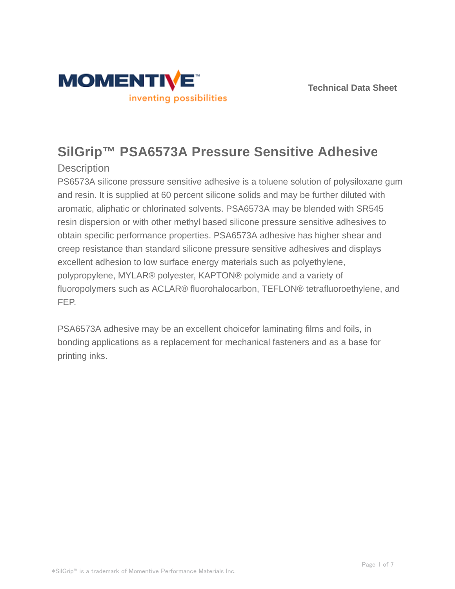

# **SilGrip™ PSA6573A Pressure Sensitive Adhesive**

# **Description**

PS6573A silicone pressure sensitive adhesive is a toluene solution of polysiloxane gum and resin. It is supplied at 60 percent silicone solids and may be further diluted with aromatic, aliphatic or chlorinated solvents. PSA6573A may be blended with SR545 resin dispersion or with other methyl based silicone pressure sensitive adhesives to obtain specific performance properties. PSA6573A adhesive has higher shear and creep resistance than standard silicone pressure sensitive adhesives and displays excellent adhesion to low surface energy materials such as polyethylene, polypropylene, MYLAR® polyester, KAPTON® polymide and a variety of fluoropolymers such as ACLAR® fluorohalocarbon, TEFLON® tetrafluoroethylene, and FEP.

PSA6573A adhesive may be an excellent choicefor laminating films and foils, in bonding applications as a replacement for mechanical fasteners and as a base for printing inks.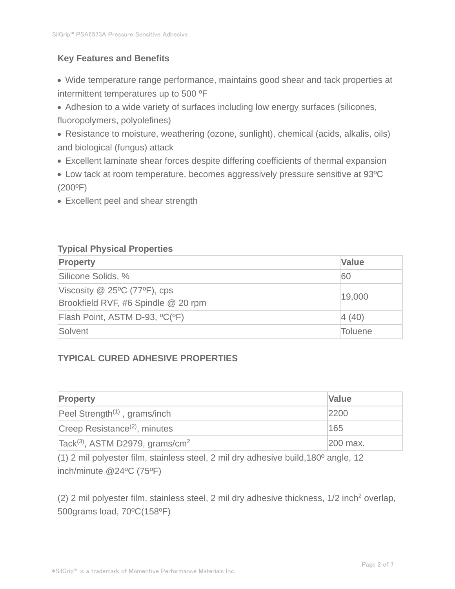# **Key Features and Benefits**

- Wide temperature range performance, maintains good shear and tack properties at intermittent temperatures up to 500 °F
- Adhesion to a wide variety of surfaces including low energy surfaces (silicones, fluoropolymers, polyolefines)
- Resistance to moisture, weathering (ozone, sunlight), chemical (acids, alkalis, oils) and biological (fungus) attack
- Excellent laminate shear forces despite differing coefficients of thermal expansion
- Low tack at room temperature, becomes aggressively pressure sensitive at 93ºC  $(200^{\circ}F)$
- Excellent peel and shear strength

# **Typical Physical Properties**

| <b>Property</b>                                                       | <b>Value</b>   |
|-----------------------------------------------------------------------|----------------|
| Silicone Solids, %                                                    | 60             |
| Viscosity $@$ 25°C (77°F), cps<br>Brookfield RVF, #6 Spindle @ 20 rpm | 19,000         |
| Flash Point, ASTM D-93, °C(°F)                                        | 4(40)          |
| Solvent                                                               | <b>Toluene</b> |

# **TYPICAL CURED ADHESIVE PROPERTIES**

| <b>Property</b>                                         | <b>Value</b> |
|---------------------------------------------------------|--------------|
| Peel Strength <sup><math>(1)</math></sup> , grams/inch  | 2200         |
| Creep Resistance <sup>(2)</sup> , minutes               | 165          |
| Tack <sup>(3)</sup> , ASTM D2979, grams/cm <sup>2</sup> | 200 max.     |

(1) 2 mil polyester film, stainless steel, 2 mil dry adhesive build,180º angle, 12 inch/minute @24ºC (75ºF)

 $(2)$  2 mil polyester film, stainless steel, 2 mil dry adhesive thickness,  $1/2$  inch<sup>2</sup> overlap, 500grams load, 70ºC(158ºF)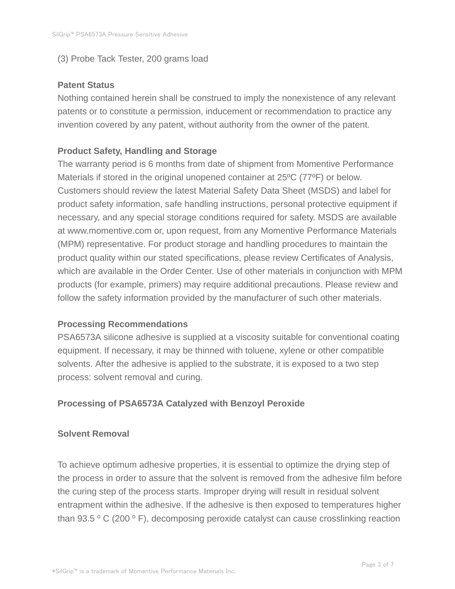#### (3) Probe Tack Tester, 200 grams load

#### **Patent Status**

Nothing contained herein shall be construed to imply the nonexistence of any relevant patents or to constitute a permission, inducement or recommendation to practice any invention covered by any patent, without authority from the owner of the patent.

# **Product Safety, Handling and Storage**

The warranty period is 6 months from date of shipment from Momentive Performance Materials if stored in the original unopened container at 25ºC (77ºF) or below. Customers should review the latest Material Safety Data Sheet (MSDS) and label for product safety information, safe handling instructions, personal protective equipment if necessary, and any special storage conditions required for safety. MSDS are available at www.momentive.com or, upon request, from any Momentive Performance Materials (MPM) representative. For product storage and handling procedures to maintain the product quality within our stated specifications, please review Certificates of Analysis, which are available in the Order Center. Use of other materials in conjunction with MPM products (for example, primers) may require additional precautions. Please review and follow the safety information provided by the manufacturer of such other materials.

#### **Processing Recommendations**

PSA6573A silicone adhesive is supplied at a viscosity suitable for conventional coating equipment. If necessary, it may be thinned with toluene, xylene or other compatible solvents. After the adhesive is applied to the substrate, it is exposed to a two step process: solvent removal and curing.

#### **Processing of PSA6573A Catalyzed with Benzoyl Peroxide**

#### **Solvent Removal**

To achieve optimum adhesive properties, it is essential to optimize the drying step of the process in order to assure that the solvent is removed from the adhesive film before the curing step of the process starts. Improper drying will result in residual solvent entrapment within the adhesive. If the adhesive is then exposed to temperatures higher than 93.5  $\degree$  C (200  $\degree$  F), decomposing peroxide catalyst can cause crosslinking reaction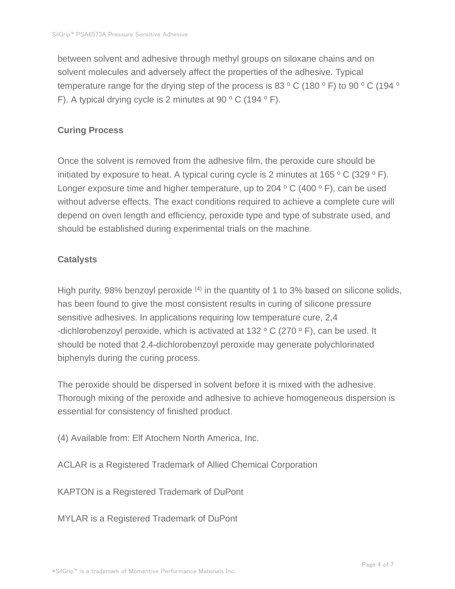between solvent and adhesive through methyl groups on siloxane chains and on solvent molecules and adversely affect the properties of the adhesive. Typical temperature range for the drying step of the process is 83  $\,^{\circ}$  C (180  $\,^{\circ}$  F) to 90  $\,^{\circ}$  C (194  $\,^{\circ}$ F). A typical drying cycle is 2 minutes at 90  $\,^{\circ}$  C (194  $\,^{\circ}$  F).

## **Curing Process**

Once the solvent is removed from the adhesive film, the peroxide cure should be initiated by exposure to heat. A typical curing cycle is 2 minutes at  $165 °C$  (329 ° F). Longer exposure time and higher temperature, up to 204  $\,^{\circ}$  C (400  $\,^{\circ}$  F), can be used without adverse effects. The exact conditions required to achieve a complete cure will depend on oven length and efficiency, peroxide type and type of substrate used, and should be established during experimental trials on the machine.

### **Catalysts**

High purity, 98% benzoyl peroxide  $(4)$  in the quantity of 1 to 3% based on silicone solids, has been found to give the most consistent results in curing of silicone pressure sensitive adhesives. In applications requiring low temperature cure, 2,4 -dichlorobenzoyl peroxide, which is activated at 132  $\,^{\circ}$  C (270  $\,^{\circ}$  F), can be used. It should be noted that 2,4-dichlorobenzoyl peroxide may generate polychlorinated biphenyls during the curing process.

The peroxide should be dispersed in solvent before it is mixed with the adhesive. Thorough mixing of the peroxide and adhesive to achieve homogeneous dispersion is essential for consistency of finished product.

(4) Available from: Elf Atochem North America, Inc.

ACLAR is a Registered Trademark of Allied Chemical Corporation

KAPTON is a Registered Trademark of DuPont

MYLAR is a Registered Trademark of DuPont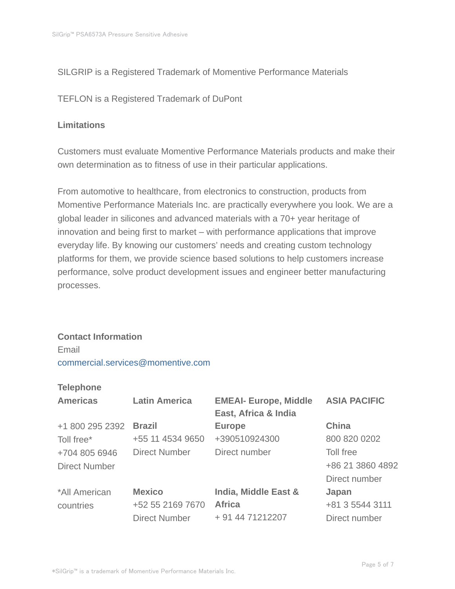#### SILGRIP is a Registered Trademark of Momentive Performance Materials

TEFLON is a Registered Trademark of DuPont

## **Limitations**

Customers must evaluate Momentive Performance Materials products and make their own determination as to fitness of use in their particular applications.

From automotive to healthcare, from electronics to construction, products from Momentive Performance Materials Inc. are practically everywhere you look. We are a global leader in silicones and advanced materials with a 70+ year heritage of innovation and being first to market – with performance applications that improve everyday life. By knowing our customers' needs and creating custom technology platforms for them, we provide science based solutions to help customers increase performance, solve product development issues and engineer better manufacturing processes.

#### **Contact Information**

Email commercial.services@momentive.com

#### **Telephone**

| <b>Americas</b>      | <b>Latin America</b> | <b>EMEAI- Europe, Middle</b><br>East, Africa & India | <b>ASIA PACIFIC</b> |
|----------------------|----------------------|------------------------------------------------------|---------------------|
| +1 800 295 2392      | <b>Brazil</b>        | <b>Europe</b>                                        | <b>China</b>        |
| Toll free*           | +55 11 4534 9650     | +390510924300                                        | 800 820 0202        |
| +704 805 6946        | <b>Direct Number</b> | Direct number                                        | <b>Toll free</b>    |
| <b>Direct Number</b> |                      |                                                      | +86 21 3860 4892    |
|                      |                      |                                                      | Direct number       |
| *All American        | <b>Mexico</b>        | India, Middle East &                                 | Japan               |
| countries            | +52 55 2169 7670     | <b>Africa</b>                                        | +81 3 5544 3111     |
|                      | <b>Direct Number</b> | + 91 44 71212207                                     | Direct number       |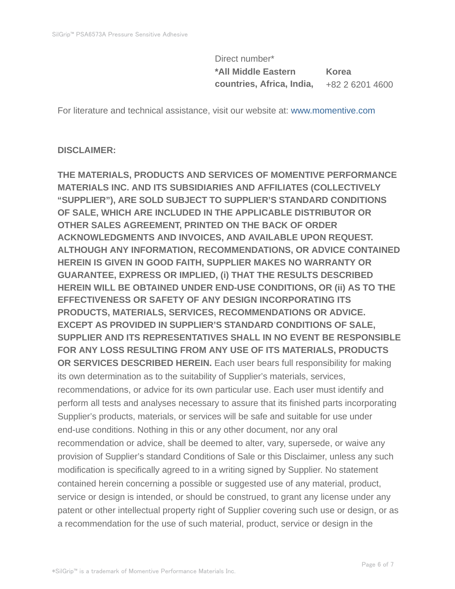Direct number\* **\*All Middle Eastern countries, Africa, India, Korea** +82 2 6201 4600

For literature and technical assistance, visit our website at: www.momentive.com

#### **DISCLAIMER:**

**THE MATERIALS, PRODUCTS AND SERVICES OF MOMENTIVE PERFORMANCE MATERIALS INC. AND ITS SUBSIDIARIES AND AFFILIATES (COLLECTIVELY "SUPPLIER"), ARE SOLD SUBJECT TO SUPPLIER'S STANDARD CONDITIONS OF SALE, WHICH ARE INCLUDED IN THE APPLICABLE DISTRIBUTOR OR OTHER SALES AGREEMENT, PRINTED ON THE BACK OF ORDER ACKNOWLEDGMENTS AND INVOICES, AND AVAILABLE UPON REQUEST. ALTHOUGH ANY INFORMATION, RECOMMENDATIONS, OR ADVICE CONTAINED HEREIN IS GIVEN IN GOOD FAITH, SUPPLIER MAKES NO WARRANTY OR GUARANTEE, EXPRESS OR IMPLIED, (i) THAT THE RESULTS DESCRIBED HEREIN WILL BE OBTAINED UNDER END-USE CONDITIONS, OR (ii) AS TO THE EFFECTIVENESS OR SAFETY OF ANY DESIGN INCORPORATING ITS PRODUCTS, MATERIALS, SERVICES, RECOMMENDATIONS OR ADVICE. EXCEPT AS PROVIDED IN SUPPLIER'S STANDARD CONDITIONS OF SALE, SUPPLIER AND ITS REPRESENTATIVES SHALL IN NO EVENT BE RESPONSIBLE FOR ANY LOSS RESULTING FROM ANY USE OF ITS MATERIALS, PRODUCTS OR SERVICES DESCRIBED HEREIN.** Each user bears full responsibility for making its own determination as to the suitability of Supplier's materials, services, recommendations, or advice for its own particular use. Each user must identify and perform all tests and analyses necessary to assure that its finished parts incorporating Supplier's products, materials, or services will be safe and suitable for use under end-use conditions. Nothing in this or any other document, nor any oral recommendation or advice, shall be deemed to alter, vary, supersede, or waive any provision of Supplier's standard Conditions of Sale or this Disclaimer, unless any such modification is specifically agreed to in a writing signed by Supplier. No statement contained herein concerning a possible or suggested use of any material, product, service or design is intended, or should be construed, to grant any license under any patent or other intellectual property right of Supplier covering such use or design, or as a recommendation for the use of such material, product, service or design in the